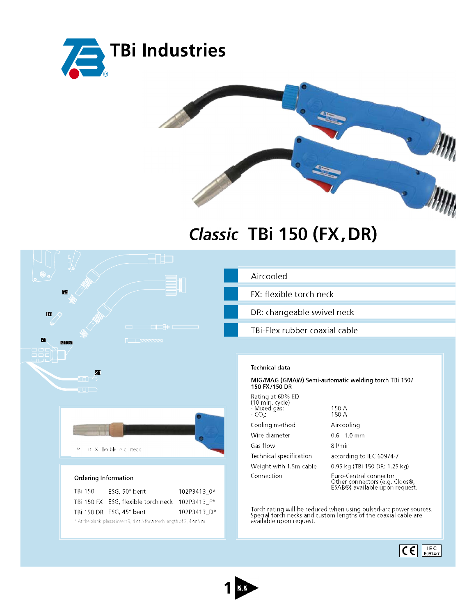



## Classic TBi 150 (FX, DR)

| 54                                                                         | Aircooled                                                                                                                            |
|----------------------------------------------------------------------------|--------------------------------------------------------------------------------------------------------------------------------------|
|                                                                            | FX: flexible torch neck                                                                                                              |
| m                                                                          | DR: changeable swivel neck                                                                                                           |
| <u> a shekara ta 1940 ha</u><br>71                                         | TBi-Flex rubber coaxial cable                                                                                                        |
| $\Box$                                                                     |                                                                                                                                      |
| $\overline{\mathbf{3}}$                                                    | <b>Technical data</b>                                                                                                                |
| $\Box$<br>$\Box$                                                           | MIG/MAG (GMAW) Semi-automatic welding torch TBi 150/<br>150 FX/150 DR                                                                |
|                                                                            | Rating at 60% ED<br>$(10 \text{ min. cycle})$<br>150 A<br>- Mixed gás:<br>180 A<br>$-CO2$                                            |
|                                                                            | Cooling method<br>Aircooling                                                                                                         |
|                                                                            | Wire diameter<br>$0.6 - 1.0$ mm                                                                                                      |
| 0 X lexble e.c. neck<br>$\mathbb D$                                        | Gas flow<br>8 l/min                                                                                                                  |
|                                                                            | Technical specification<br>according to IEC 60974-7                                                                                  |
|                                                                            | Weight with 1.5m cable<br>0.95 kg (TBi 150 DR: 1.25 kg)                                                                              |
| <b>Ordering Information</b>                                                | Connection<br>Euro-Central connector.<br>Other connectors (e.g. Cloos®,<br>ESAB®) available upon request.                            |
| ESG, 50° bent<br>TBi 150<br>102P3413 0*                                    |                                                                                                                                      |
| TBi 150 FX ESG, flexible torch neck 102P3413_F*                            |                                                                                                                                      |
| TBi 150 DR ESG, 45° bent<br>102P3413 D*                                    | Torch rating will be reduced when using pulsed-arc power sources.<br>Special torch necks and custom lengths of the coaxial cable are |
| * At the blank, please insert 3, 4 or 5 for a torch length of 3, 4 or 5 m. | available upon request.                                                                                                              |
|                                                                            | IEC<br>C€<br>60974-7                                                                                                                 |